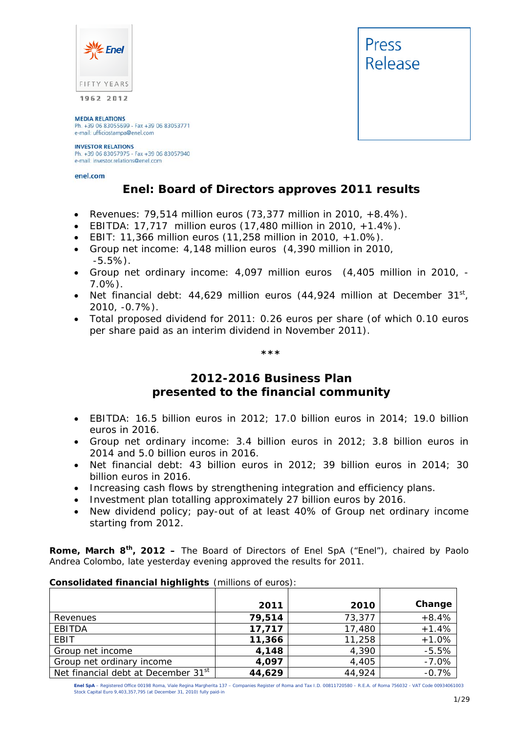

# **MEDIA RELATIONS**

Ph. +39 06 83055699 - Fax +39 06 83053771<br>e-mail: ufficiostampa@enel.com

#### **INVESTOR RELATIONS**

Ph. +39 06 83057975 - Fax +39 06 83057940 e-mail: investor.relations@enel.com

#### enel.com

## **Enel: Board of Directors approves 2011 results**

- *Revenues: 79,514 million euros (73,377 million in 2010, +8.4%).*
- *EBITDA: 17,717 million euros (17,480 million in 2010, +1.4%).*
- *EBIT: 11,366 million euros (11,258 million in 2010, +1.0%).*
- *Group net income: 4,148 million euros (4,390 million in 2010, -5.5%).*
- *Group net ordinary income: 4,097 million euros (4,405 million in 2010, - 7.0%).*
- *Net financial debt: 44,629 million euros (44,924 million at December 31st, 2010, -0.7%).*
- *Total proposed dividend for 2011: 0.26 euros per share (of which 0.10 euros per share paid as an interim dividend in November 2011).*

*\*\*\**

## **2012-2016 Business Plan presented to the financial community**

- *EBITDA: 16.5 billion euros in 2012; 17.0 billion euros in 2014; 19.0 billion euros in 2016.*
- *Group net ordinary income: 3.4 billion euros in 2012; 3.8 billion euros in 2014 and 5.0 billion euros in 2016.*
- *Net financial debt: 43 billion euros in 2012; 39 billion euros in 2014; 30 billion euros in 2016.*
- *Increasing cash flows by strengthening integration and efficiency plans.*
- *Investment plan totalling approximately 27 billion euros by 2016.*
- *New dividend policy; pay-out of at least 40% of Group net ordinary income starting from 2012.*

**Rome, March 8th, 2012 –** The Board of Directors of Enel SpA ("Enel"), chaired by Paolo Andrea Colombo, late yesterday evening approved the results for 2011.

|                                                 | 2011   | 2010   | Change  |
|-------------------------------------------------|--------|--------|---------|
| Revenues                                        | 79,514 | 73,377 | $+8.4%$ |
| <b>EBITDA</b>                                   | 17,717 | 17,480 | $+1.4%$ |
| EBIT                                            | 11,366 | 11,258 | $+1.0%$ |
| Group net income                                | 4,148  | 4,390  | $-5.5%$ |
| Group net ordinary income                       | 4,097  | 4,405  | $-7.0%$ |
| Net financial debt at December 31 <sup>st</sup> | 44,629 | 44,924 | $-0.7%$ |

## **Consolidated financial highlights** (millions of euros):

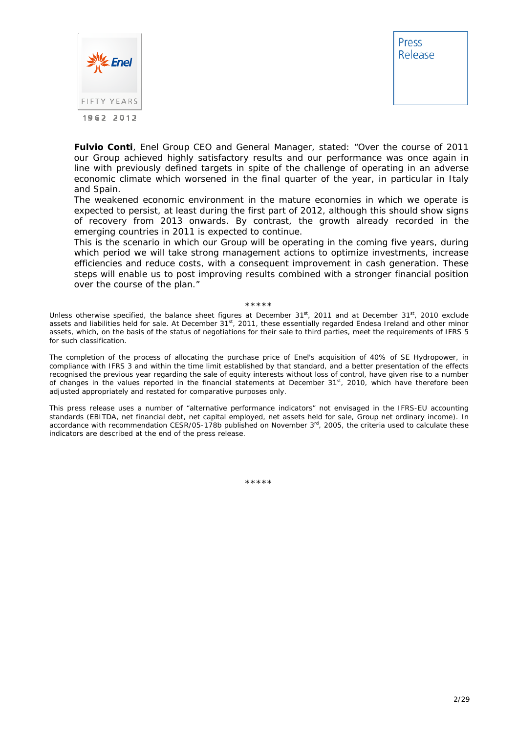

**Fulvio Conti**, Enel Group CEO and General Manager, stated: *"Over the course of 2011 our Group achieved highly satisfactory results and our performance was once again in line with previously defined targets in spite of the challenge of operating in an adverse economic climate which worsened in the final quarter of the year, in particular in Italy and Spain.* 

*The weakened economic environment in the mature economies in which we operate is expected to persist, at least during the first part of 2012, although this should show signs of recovery from 2013 onwards. By contrast, the growth already recorded in the emerging countries in 2011 is expected to continue.* 

*This is the scenario in which our Group will be operating in the coming five years, during which period we will take strong management actions to optimize investments, increase efficiencies and reduce costs, with a consequent improvement in cash generation. These steps will enable us to post improving results combined with a stronger financial position over the course of the plan."* 

#### \*\*\*\*\*

Unless otherwise specified, the balance sheet figures at December  $31<sup>st</sup>$ , 2011 and at December  $31<sup>st</sup>$ , 2010 exclude assets and liabilities held for sale. At December 31st, 2011, these essentially regarded Endesa Ireland and other minor assets, which, on the basis of the status of negotiations for their sale to third parties, meet the requirements of IFRS 5 for such classification.

The completion of the process of allocating the purchase price of Enel's acquisition of 40% of SE Hydropower, in compliance with IFRS 3 and within the time limit established by that standard, and a better presentation of the effects recognised the previous year regarding the sale of equity interests without loss of control, have given rise to a number of changes in the values reported in the financial statements at December 31st, 2010, which have therefore been adjusted appropriately and restated for comparative purposes only.

This press release uses a number of "alternative performance indicators" not envisaged in the IFRS-EU accounting standards (EBITDA, net financial debt, net capital employed, net assets held for sale, Group net ordinary income). In accordance with recommendation CESR/05-178b published on November 3<sup>rd</sup>, 2005, the criteria used to calculate these indicators are described at the end of the press release.

\*\*\*\*\*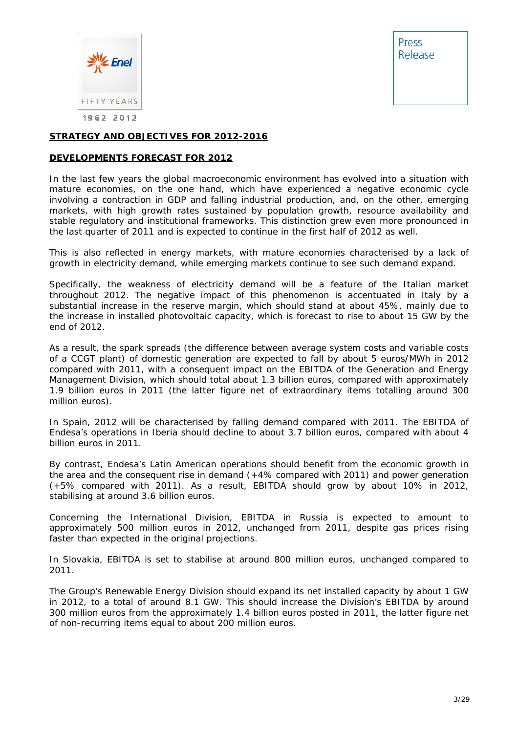

### **STRATEGY AND OBJECTIVES FOR 2012-2016**

#### **DEVELOPMENTS FORECAST FOR 2012**

In the last few years the global macroeconomic environment has evolved into a situation with mature economies, on the one hand, which have experienced a negative economic cycle involving a contraction in GDP and falling industrial production, and, on the other, emerging markets, with high growth rates sustained by population growth, resource availability and stable regulatory and institutional frameworks. This distinction grew even more pronounced in the last quarter of 2011 and is expected to continue in the first half of 2012 as well.

This is also reflected in energy markets, with mature economies characterised by a lack of growth in electricity demand, while emerging markets continue to see such demand expand.

Specifically, the weakness of electricity demand will be a feature of the Italian market throughout 2012. The negative impact of this phenomenon is accentuated in Italy by a substantial increase in the reserve margin, which should stand at about 45%, mainly due to the increase in installed photovoltaic capacity, which is forecast to rise to about 15 GW by the end of 2012.

As a result, the spark spreads (the difference between average system costs and variable costs of a CCGT plant) of domestic generation are expected to fall by about 5 euros/MWh in 2012 compared with 2011, with a consequent impact on the EBITDA of the Generation and Energy Management Division, which should total about 1.3 billion euros, compared with approximately 1.9 billion euros in 2011 (the latter figure net of extraordinary items totalling around 300 million euros).

In Spain, 2012 will be characterised by falling demand compared with 2011. The EBITDA of Endesa's operations in Iberia should decline to about 3.7 billion euros, compared with about 4 billion euros in 2011.

By contrast, Endesa's Latin American operations should benefit from the economic growth in the area and the consequent rise in demand (+4% compared with 2011) and power generation (+5% compared with 2011). As a result, EBITDA should grow by about 10% in 2012, stabilising at around 3.6 billion euros.

Concerning the International Division, EBITDA in Russia is expected to amount to approximately 500 million euros in 2012, unchanged from 2011, despite gas prices rising faster than expected in the original projections.

In Slovakia, EBITDA is set to stabilise at around 800 million euros, unchanged compared to 2011.

The Group's Renewable Energy Division should expand its net installed capacity by about 1 GW in 2012, to a total of around 8.1 GW. This should increase the Division's EBITDA by around 300 million euros from the approximately 1.4 billion euros posted in 2011, the latter figure net of non-recurring items equal to about 200 million euros.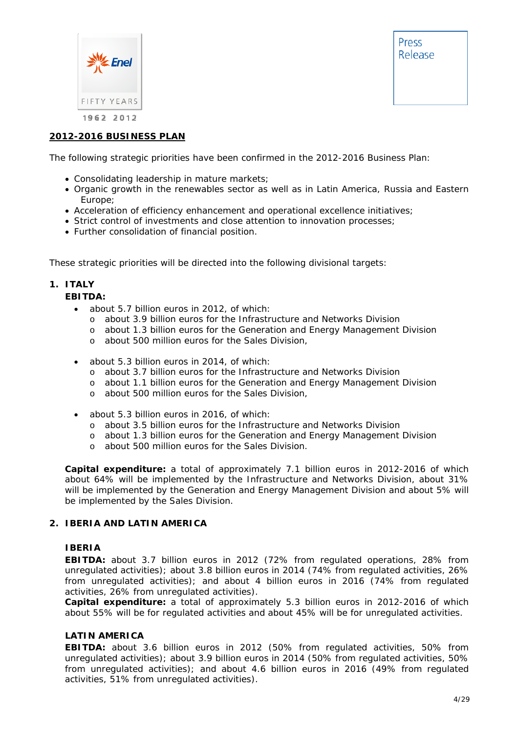

## **2012-2016 BUSINESS PLAN**

The following strategic priorities have been confirmed in the 2012-2016 Business Plan:

- Consolidating leadership in mature markets;
- Organic growth in the renewables sector as well as in Latin America, Russia and Eastern Europe;
- Acceleration of efficiency enhancement and operational excellence initiatives;
- Strict control of investments and close attention to innovation processes;
- Further consolidation of financial position.

These strategic priorities will be directed into the following divisional targets:

## **1. ITALY**

#### **EBITDA:**

- about 5.7 billion euros in 2012, of which:
	- o about 3.9 billion euros for the Infrastructure and Networks Division
	- o about 1.3 billion euros for the Generation and Energy Management Division
	- o about 500 million euros for the Sales Division,
- about 5.3 billion euros in 2014, of which:
	- o about 3.7 billion euros for the Infrastructure and Networks Division
	- o about 1.1 billion euros for the Generation and Energy Management Division
	- o about 500 million euros for the Sales Division,
- about 5.3 billion euros in 2016, of which:
	- o about 3.5 billion euros for the Infrastructure and Networks Division
	- o about 1.3 billion euros for the Generation and Energy Management Division
	- o about 500 million euros for the Sales Division.

**Capital expenditure:** a total of approximately 7.1 billion euros in 2012-2016 of which about 64% will be implemented by the Infrastructure and Networks Division, about 31% will be implemented by the Generation and Energy Management Division and about 5% will be implemented by the Sales Division.

#### **2. IBERIA AND LATIN AMERICA**

### **IBERIA**

**EBITDA:** about 3.7 billion euros in 2012 (72% from regulated operations, 28% from unregulated activities); about 3.8 billion euros in 2014 (74% from regulated activities, 26% from unregulated activities); and about 4 billion euros in 2016 (74% from regulated activities, 26% from unregulated activities).

**Capital expenditure:** a total of approximately 5.3 billion euros in 2012-2016 of which about 55% will be for regulated activities and about 45% will be for unregulated activities.

#### **LATIN AMERICA**

**EBITDA:** about 3.6 billion euros in 2012 (50% from regulated activities, 50% from unregulated activities); about 3.9 billion euros in 2014 (50% from regulated activities, 50% from unregulated activities); and about 4.6 billion euros in 2016 (49% from regulated activities, 51% from unregulated activities).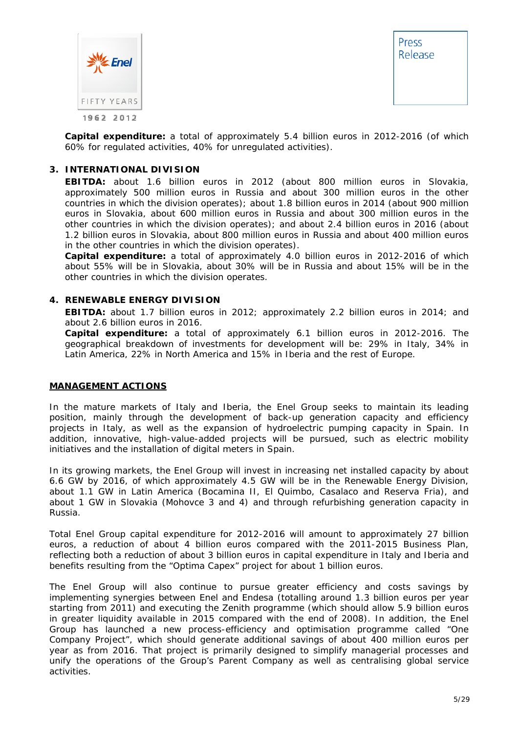



**Capital expenditure:** a total of approximately 5.4 billion euros in 2012-2016 (of which 60% for regulated activities, 40% for unregulated activities).

#### **3. INTERNATIONAL DIVISION**

**EBITDA:** about 1.6 billion euros in 2012 (about 800 million euros in Slovakia, approximately 500 million euros in Russia and about 300 million euros in the other countries in which the division operates); about 1.8 billion euros in 2014 (about 900 million euros in Slovakia, about 600 million euros in Russia and about 300 million euros in the other countries in which the division operates); and about 2.4 billion euros in 2016 (about 1.2 billion euros in Slovakia, about 800 million euros in Russia and about 400 million euros in the other countries in which the division operates).

**Capital expenditure:** a total of approximately 4.0 billion euros in 2012-2016 of which about 55% will be in Slovakia, about 30% will be in Russia and about 15% will be in the other countries in which the division operates.

#### **4. RENEWABLE ENERGY DIVISION**

**EBITDA:** about 1.7 billion euros in 2012; approximately 2.2 billion euros in 2014; and about 2.6 billion euros in 2016.

**Capital expenditure:** a total of approximately 6.1 billion euros in 2012-2016. The geographical breakdown of investments for development will be: 29% in Italy, 34% in Latin America, 22% in North America and 15% in Iberia and the rest of Europe.

#### **MANAGEMENT ACTIONS**

In the mature markets of Italy and Iberia, the Enel Group seeks to maintain its leading position, mainly through the development of back-up generation capacity and efficiency projects in Italy, as well as the expansion of hydroelectric pumping capacity in Spain. In addition, innovative, high-value-added projects will be pursued, such as electric mobility initiatives and the installation of digital meters in Spain.

In its growing markets, the Enel Group will invest in increasing net installed capacity by about 6.6 GW by 2016, of which approximately 4.5 GW will be in the Renewable Energy Division, about 1.1 GW in Latin America (Bocamina II, El Quimbo, Casalaco and *Reserva Fria*), and about 1 GW in Slovakia (Mohovce 3 and 4) and through refurbishing generation capacity in Russia.

Total Enel Group capital expenditure for 2012-2016 will amount to approximately 27 billion euros, a reduction of about 4 billion euros compared with the 2011-2015 Business Plan, reflecting both a reduction of about 3 billion euros in capital expenditure in Italy and Iberia and benefits resulting from the "Optima Capex" project for about 1 billion euros.

The Enel Group will also continue to pursue greater efficiency and costs savings by implementing synergies between Enel and Endesa (totalling around 1.3 billion euros per year starting from 2011) and executing the Zenith programme (which should allow 5.9 billion euros in greater liquidity available in 2015 compared with the end of 2008). In addition, the Enel Group has launched a new process-efficiency and optimisation programme called "One Company Project", which should generate additional savings of about 400 million euros per year as from 2016. That project is primarily designed to simplify managerial processes and unify the operations of the Group's Parent Company as well as centralising global service activities.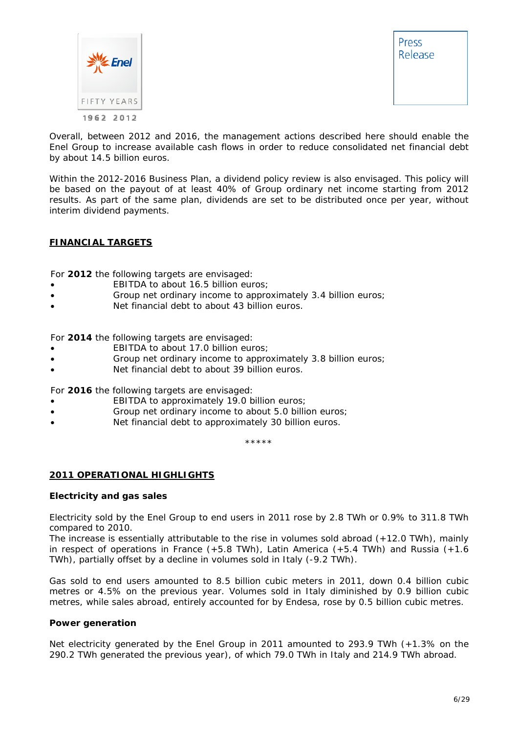



Overall, between 2012 and 2016, the management actions described here should enable the Enel Group to increase available cash flows in order to reduce consolidated net financial debt by about 14.5 billion euros.

Within the 2012-2016 Business Plan, a dividend policy review is also envisaged. This policy will be based on the payout of at least 40% of Group ordinary net income starting from 2012 results. As part of the same plan, dividends are set to be distributed once per year, without interim dividend payments.

#### **FINANCIAL TARGETS**

For **2012** the following targets are envisaged:

- EBITDA to about 16.5 billion euros;
- Group net ordinary income to approximately 3.4 billion euros;
- Net financial debt to about 43 billion euros.

For **2014** the following targets are envisaged:

- EBITDA to about 17.0 billion euros;
- Group net ordinary income to approximately 3.8 billion euros;
- Net financial debt to about 39 billion euros.

For **2016** the following targets are envisaged:

- EBITDA to approximately 19.0 billion euros;
- Group net ordinary income to about 5.0 billion euros;
- Net financial debt to approximately 30 billion euros.

\*\*\*\*\*

#### **2011 OPERATIONAL HIGHLIGHTS**

#### **Electricity and gas sales**

Electricity sold by the Enel Group to end users in 2011 rose by 2.8 TWh or 0.9% to 311.8 TWh compared to 2010.

The increase is essentially attributable to the rise in volumes sold abroad (+12.0 TWh), mainly in respect of operations in France (+5.8 TWh), Latin America (+5.4 TWh) and Russia (+1.6 TWh), partially offset by a decline in volumes sold in Italy (-9.2 TWh).

Gas sold to end users amounted to 8.5 billion cubic meters in 2011, down 0.4 billion cubic metres or 4.5% on the previous year. Volumes sold in Italy diminished by 0.9 billion cubic metres, while sales abroad, entirely accounted for by Endesa, rose by 0.5 billion cubic metres.

#### **Power generation**

Net electricity generated by the Enel Group in 2011 amounted to 293.9 TWh (+1.3% on the 290.2 TWh generated the previous year), of which 79.0 TWh in Italy and 214.9 TWh abroad.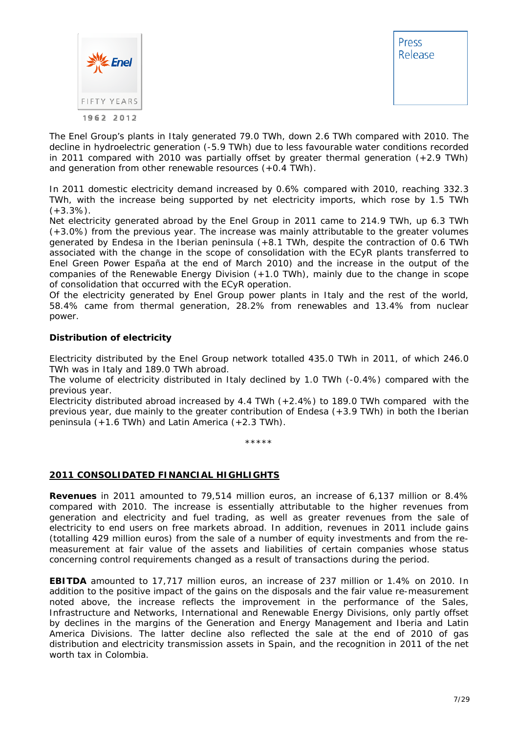



The Enel Group's plants in Italy generated 79.0 TWh, down 2.6 TWh compared with 2010. The decline in hydroelectric generation (-5.9 TWh) due to less favourable water conditions recorded in 2011 compared with 2010 was partially offset by greater thermal generation (+2.9 TWh) and generation from other renewable resources (+0.4 TWh).

In 2011 domestic electricity demand increased by 0.6% compared with 2010, reaching 332.3 TWh, with the increase being supported by net electricity imports, which rose by 1.5 TWh  $(+3.3\%)$ .

Net electricity generated abroad by the Enel Group in 2011 came to 214.9 TWh, up 6.3 TWh (+3.0%) from the previous year. The increase was mainly attributable to the greater volumes generated by Endesa in the Iberian peninsula (+8.1 TWh, despite the contraction of 0.6 TWh associated with the change in the scope of consolidation with the ECyR plants transferred to Enel Green Power España at the end of March 2010) and the increase in the output of the companies of the Renewable Energy Division (+1.0 TWh), mainly due to the change in scope of consolidation that occurred with the ECyR operation.

Of the electricity generated by Enel Group power plants in Italy and the rest of the world, 58.4% came from thermal generation, 28.2% from renewables and 13.4% from nuclear power.

### **Distribution of electricity**

Electricity distributed by the Enel Group network totalled 435.0 TWh in 2011, of which 246.0 TWh was in Italy and 189.0 TWh abroad.

The volume of electricity distributed in Italy declined by 1.0 TWh (-0.4%) compared with the previous year.

Electricity distributed abroad increased by 4.4 TWh  $(+2.4%)$  to 189.0 TWh compared with the previous year, due mainly to the greater contribution of Endesa (+3.9 TWh) in both the Iberian peninsula (+1.6 TWh) and Latin America (+2.3 TWh).

\*\*\*\*\*

#### **2011 CONSOLIDATED FINANCIAL HIGHLIGHTS**

**Revenues** in 2011 amounted to 79,514 million euros, an increase of 6,137 million or 8.4% compared with 2010. The increase is essentially attributable to the higher revenues from generation and electricity and fuel trading, as well as greater revenues from the sale of electricity to end users on free markets abroad. In addition, revenues in 2011 include gains (totalling 429 million euros) from the sale of a number of equity investments and from the remeasurement at fair value of the assets and liabilities of certain companies whose status concerning control requirements changed as a result of transactions during the period.

**EBITDA** amounted to 17,717 million euros, an increase of 237 million or 1.4% on 2010. In addition to the positive impact of the gains on the disposals and the fair value re-measurement noted above, the increase reflects the improvement in the performance of the Sales, Infrastructure and Networks, International and Renewable Energy Divisions, only partly offset by declines in the margins of the Generation and Energy Management and Iberia and Latin America Divisions. The latter decline also reflected the sale at the end of 2010 of gas distribution and electricity transmission assets in Spain, and the recognition in 2011 of the net worth tax in Colombia.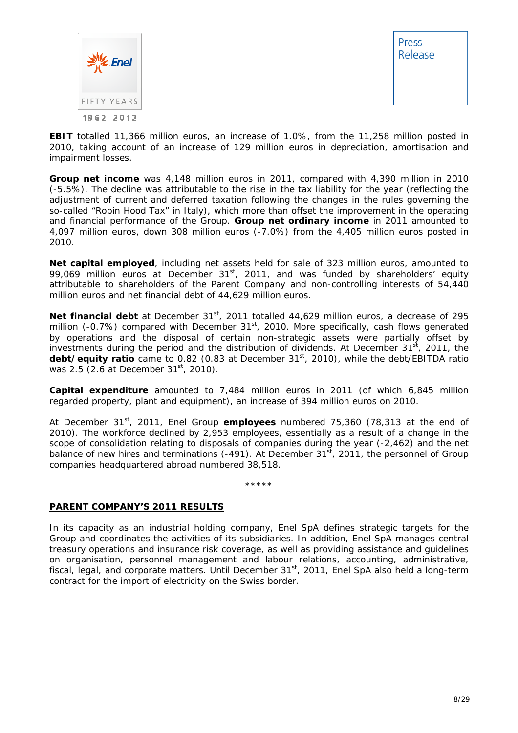

**EBIT** totalled 11,366 million euros, an increase of 1.0%, from the 11,258 million posted in 2010, taking account of an increase of 129 million euros in depreciation, amortisation and impairment losses.

**Group net income** was 4,148 million euros in 2011, compared with 4,390 million in 2010 (-5.5%). The decline was attributable to the rise in the tax liability for the year (reflecting the adjustment of current and deferred taxation following the changes in the rules governing the so-called "Robin Hood Tax" in Italy), which more than offset the improvement in the operating and financial performance of the Group. **Group net ordinary income** in 2011 amounted to 4,097 million euros, down 308 million euros (-7.0%) from the 4,405 million euros posted in 2010.

**Net capital employed**, including net assets held for sale of 323 million euros, amounted to 99,069 million euros at December  $31<sup>st</sup>$ , 2011, and was funded by shareholders' equity attributable to shareholders of the Parent Company and non-controlling interests of 54,440 million euros and net financial debt of 44,629 million euros.

Net financial debt at December 31<sup>st</sup>, 2011 totalled 44,629 million euros, a decrease of 295 million (-0.7%) compared with December 31<sup>st</sup>, 2010. More specifically, cash flows generated by operations and the disposal of certain non-strategic assets were partially offset by investments during the period and the distribution of dividends. At December 31 $^{\rm st}$ , 2011, the debt/equity ratio came to 0.82 (0.83 at December 31<sup>st</sup>, 2010), while the debt/EBITDA ratio was 2.5 (2.6 at December 31<sup>st</sup>, 2010).

**Capital expenditure** amounted to 7,484 million euros in 2011 (of which 6,845 million regarded property, plant and equipment), an increase of 394 million euros on 2010.

At December 31st, 2011, Enel Group **employees** numbered 75,360 (78,313 at the end of 2010). The workforce declined by 2,953 employees, essentially as a result of a change in the scope of consolidation relating to disposals of companies during the year (-2,462) and the net balance of new hires and terminations (-491). At December  $31<sup>st</sup>$ , 2011, the personnel of Group companies headquartered abroad numbered 38,518.

\*\*\*\*\*

#### **PARENT COMPANY'S 2011 RESULTS**

In its capacity as an industrial holding company, Enel SpA defines strategic targets for the Group and coordinates the activities of its subsidiaries. In addition, Enel SpA manages central treasury operations and insurance risk coverage, as well as providing assistance and guidelines on organisation, personnel management and labour relations, accounting, administrative, fiscal, legal, and corporate matters. Until December 31<sup>st</sup>, 2011, Enel SpA also held a long-term contract for the import of electricity on the Swiss border.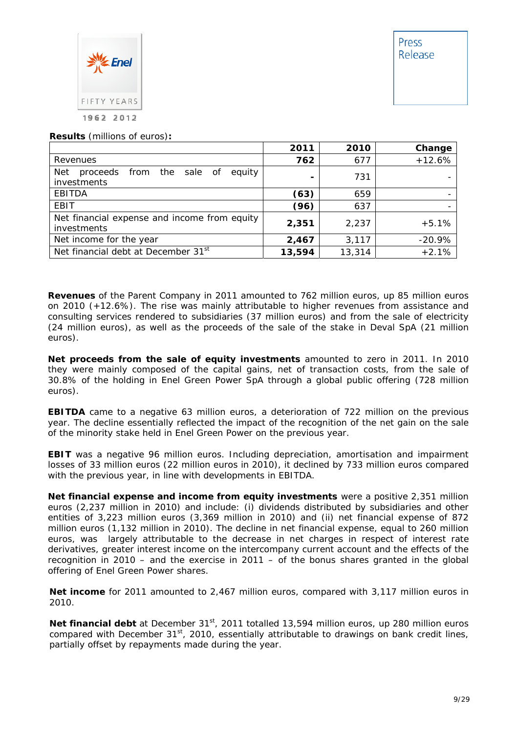

#### **Results** (millions of euros)**:**

|                                                                        | 2011   | 2010   | Change   |
|------------------------------------------------------------------------|--------|--------|----------|
| Revenues                                                               | 762    | 677    | $+12.6%$ |
| <b>Net</b><br>from the<br>proceeds<br>sale of<br>equity<br>investments | -      | 731    |          |
| <b>EBITDA</b>                                                          | (63)   | 659    |          |
| EBIT                                                                   | (96)   | 637    |          |
| Net financial expense and income from equity<br>investments            | 2,351  | 2,237  | $+5.1%$  |
| Net income for the year                                                | 2,467  | 3,117  | $-20.9%$ |
| Net financial debt at December 31 <sup>st</sup>                        | 13,594 | 13,314 | $+2.1%$  |

**Revenues** of the Parent Company in 2011 amounted to 762 million euros, up 85 million euros on 2010 (+12.6%). The rise was mainly attributable to higher revenues from assistance and consulting services rendered to subsidiaries (37 million euros) and from the sale of electricity (24 million euros), as well as the proceeds of the sale of the stake in Deval SpA (21 million euros).

**Net proceeds from the sale of equity investments** amounted to zero in 2011. In 2010 they were mainly composed of the capital gains, net of transaction costs, from the sale of 30.8% of the holding in Enel Green Power SpA through a global public offering (728 million euros).

**EBITDA** came to a negative 63 million euros, a deterioration of 722 million on the previous year. The decline essentially reflected the impact of the recognition of the net gain on the sale of the minority stake held in Enel Green Power on the previous year.

**EBIT** was a negative 96 million euros. Including depreciation, amortisation and impairment losses of 33 million euros (22 million euros in 2010), it declined by 733 million euros compared with the previous year, in line with developments in EBITDA.

**Net financial expense and income from equity investments** were a positive 2,351 million euros (2,237 million in 2010) and include: (i) dividends distributed by subsidiaries and other entities of 3,223 million euros (3,369 million in 2010) and (ii) net financial expense of 872 million euros (1,132 million in 2010). The decline in net financial expense, equal to 260 million euros, was largely attributable to the decrease in net charges in respect of interest rate derivatives, greater interest income on the intercompany current account and the effects of the recognition in 2010 – and the exercise in 2011 – of the bonus shares granted in the global offering of Enel Green Power shares.

**Net income** for 2011 amounted to 2,467 million euros, compared with 3,117 million euros in 2010.

Net financial debt at December 31<sup>st</sup>, 2011 totalled 13,594 million euros, up 280 million euros compared with December 31<sup>st</sup>, 2010, essentially attributable to drawings on bank credit lines, partially offset by repayments made during the year.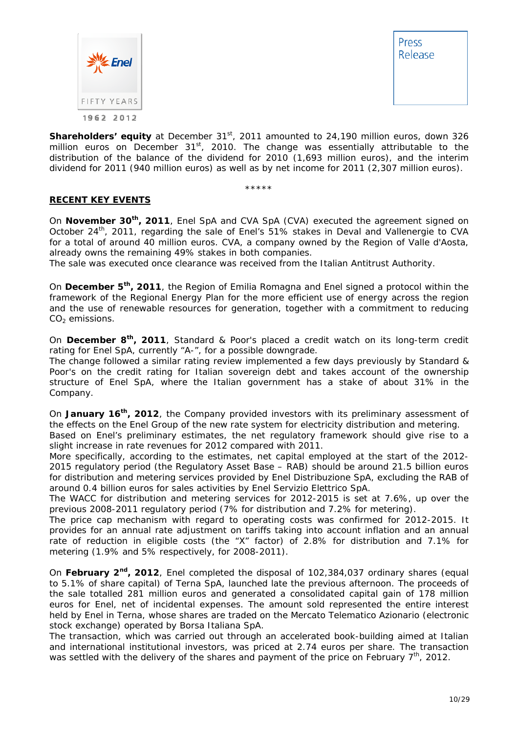

**Shareholders' equity** at December 31<sup>st</sup>, 2011 amounted to 24,190 million euros, down 326 million euros on December  $31<sup>st</sup>$ , 2010. The change was essentially attributable to the distribution of the balance of the dividend for 2010 (1,693 million euros), and the interim dividend for 2011 (940 million euros) as well as by net income for 2011 (2,307 million euros).

\*\*\*\*\*

#### **RECENT KEY EVENTS**

On **November 30th, 2011**, Enel SpA and CVA SpA (CVA) executed the agreement signed on October 24<sup>th</sup>, 2011, regarding the sale of Enel's 51% stakes in Deval and Vallenergie to CVA for a total of around 40 million euros. CVA, a company owned by the Region of Valle d'Aosta, already owns the remaining 49% stakes in both companies.

The sale was executed once clearance was received from the Italian Antitrust Authority.

On **December 5th, 2011**, the Region of Emilia Romagna and Enel signed a protocol within the framework of the Regional Energy Plan for the more efficient use of energy across the region and the use of renewable resources for generation, together with a commitment to reducing  $CO<sub>2</sub>$  emissions.

On **December 8th, 2011**, Standard & Poor's placed a credit watch on its long-term credit rating for Enel SpA, currently "A-", for a possible downgrade.

The change followed a similar rating review implemented a few days previously by Standard & Poor's on the credit rating for Italian sovereign debt and takes account of the ownership structure of Enel SpA, where the Italian government has a stake of about 31% in the Company.

On **January 16th, 2012**, the Company provided investors with its preliminary assessment of the effects on the Enel Group of the new rate system for electricity distribution and metering.

Based on Enel's preliminary estimates, the net regulatory framework should give rise to a slight increase in rate revenues for 2012 compared with 2011.

More specifically, according to the estimates, net capital employed at the start of the 2012- 2015 regulatory period (the Regulatory Asset Base – RAB) should be around 21.5 billion euros for distribution and metering services provided by Enel Distribuzione SpA, excluding the RAB of around 0.4 billion euros for sales activities by Enel Servizio Elettrico SpA.

The WACC for distribution and metering services for 2012-2015 is set at 7.6%, up over the previous 2008-2011 regulatory period (7% for distribution and 7.2% for metering).

The price cap mechanism with regard to operating costs was confirmed for 2012-2015. It provides for an annual rate adjustment on tariffs taking into account inflation and an annual rate of reduction in eligible costs (the "X" factor) of 2.8% for distribution and 7.1% for metering (1.9% and 5% respectively, for 2008-2011).

On **February 2nd, 2012**, Enel completed the disposal of 102,384,037 ordinary shares (equal to 5.1% of share capital) of Terna SpA, launched late the previous afternoon. The proceeds of the sale totalled 281 million euros and generated a consolidated capital gain of 178 million euros for Enel, net of incidental expenses. The amount sold represented the entire interest held by Enel in Terna, whose shares are traded on the Mercato Telematico Azionario (electronic stock exchange) operated by Borsa Italiana SpA.

The transaction, which was carried out through an accelerated book-building aimed at Italian and international institutional investors, was priced at 2.74 euros per share. The transaction was settled with the delivery of the shares and payment of the price on February  $7<sup>th</sup>$ , 2012.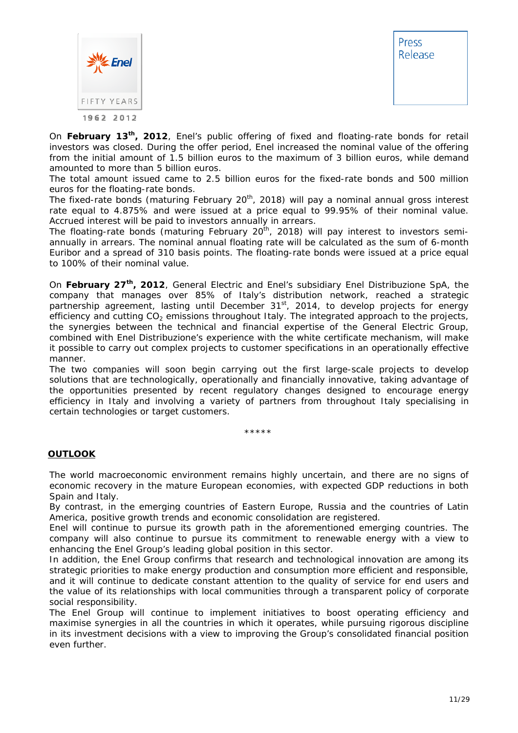

On **February 13th, 2012**, Enel's public offering of fixed and floating-rate bonds for retail investors was closed. During the offer period, Enel increased the nominal value of the offering from the initial amount of 1.5 billion euros to the maximum of 3 billion euros, while demand amounted to more than 5 billion euros.

The total amount issued came to 2.5 billion euros for the fixed-rate bonds and 500 million euros for the floating-rate bonds.

The fixed-rate bonds (maturing February 20<sup>th</sup>, 2018) will pay a nominal annual gross interest rate equal to 4.875% and were issued at a price equal to 99.95% of their nominal value. Accrued interest will be paid to investors annually in arrears.

The floating-rate bonds (maturing February  $20<sup>th</sup>$ , 2018) will pay interest to investors semiannually in arrears. The nominal annual floating rate will be calculated as the sum of 6-month Euribor and a spread of 310 basis points. The floating-rate bonds were issued at a price equal to 100% of their nominal value.

On **February 27th, 2012**, General Electric and Enel's subsidiary Enel Distribuzione SpA, the company that manages over 85% of Italy's distribution network, reached a strategic partnership agreement, lasting until December 31<sup>st</sup>, 2014, to develop projects for energy efficiency and cutting  $CO<sub>2</sub>$  emissions throughout Italy. The integrated approach to the projects, the synergies between the technical and financial expertise of the General Electric Group, combined with Enel Distribuzione's experience with the white certificate mechanism, will make it possible to carry out complex projects to customer specifications in an operationally effective manner.

The two companies will soon begin carrying out the first large-scale projects to develop solutions that are technologically, operationally and financially innovative, taking advantage of the opportunities presented by recent regulatory changes designed to encourage energy efficiency in Italy and involving a variety of partners from throughout Italy specialising in certain technologies or target customers.

\*\*\*\*\*

#### **OUTLOOK**

The world macroeconomic environment remains highly uncertain, and there are no signs of economic recovery in the mature European economies, with expected GDP reductions in both Spain and Italy.

By contrast, in the emerging countries of Eastern Europe, Russia and the countries of Latin America, positive growth trends and economic consolidation are registered.

Enel will continue to pursue its growth path in the aforementioned emerging countries. The company will also continue to pursue its commitment to renewable energy with a view to enhancing the Enel Group's leading global position in this sector.

In addition, the Enel Group confirms that research and technological innovation are among its strategic priorities to make energy production and consumption more efficient and responsible, and it will continue to dedicate constant attention to the quality of service for end users and the value of its relationships with local communities through a transparent policy of corporate social responsibility.

The Enel Group will continue to implement initiatives to boost operating efficiency and maximise synergies in all the countries in which it operates, while pursuing rigorous discipline in its investment decisions with a view to improving the Group's consolidated financial position even further.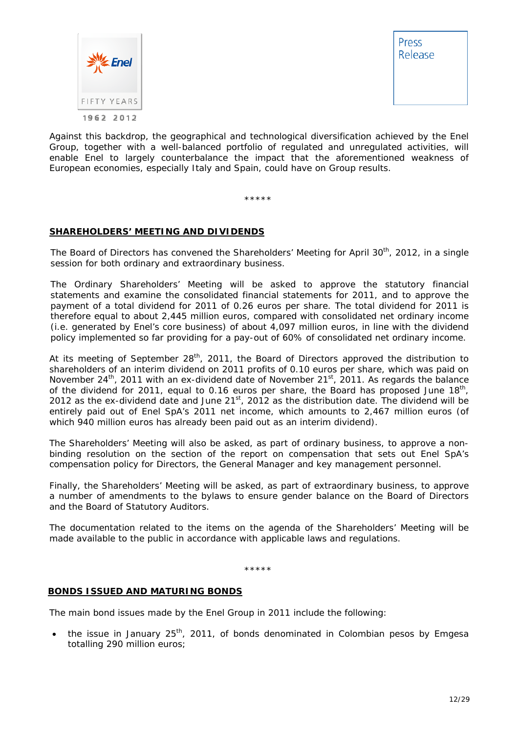

Against this backdrop, the geographical and technological diversification achieved by the Enel Group, together with a well-balanced portfolio of regulated and unregulated activities, will enable Enel to largely counterbalance the impact that the aforementioned weakness of European economies, especially Italy and Spain, could have on Group results.

\*\*\*\*\*

### **SHAREHOLDERS' MEETING AND DIVIDENDS**

The Board of Directors has convened the Shareholders' Meeting for April 30<sup>th</sup>, 2012, in a single session for both ordinary and extraordinary business.

The Ordinary Shareholders' Meeting will be asked to approve the statutory financial statements and examine the consolidated financial statements for 2011, and to approve the payment of a total dividend for 2011 of 0.26 euros per share. The total dividend for 2011 is therefore equal to about 2,445 million euros, compared with consolidated net ordinary income (i.e. generated by Enel's core business) of about 4,097 million euros, in line with the dividend policy implemented so far providing for a pay-out of 60% of consolidated net ordinary income.

At its meeting of September 28<sup>th</sup>, 2011, the Board of Directors approved the distribution to shareholders of an interim dividend on 2011 profits of 0.10 euros per share, which was paid on November 24<sup>th</sup>, 2011 with an ex-dividend date of November 21<sup>st</sup>, 2011. As regards the balance of the dividend for 2011, equal to 0.16 euros per share, the Board has proposed June  $18<sup>th</sup>$ , 2012 as the ex-dividend date and June  $21^{st}$ , 2012 as the distribution date. The dividend will be entirely paid out of Enel SpA's 2011 net income, which amounts to 2,467 million euros (of which 940 million euros has already been paid out as an interim dividend).

The Shareholders' Meeting will also be asked, as part of ordinary business, to approve a nonbinding resolution on the section of the report on compensation that sets out Enel SpA's compensation policy for Directors, the General Manager and key management personnel.

Finally, the Shareholders' Meeting will be asked, as part of extraordinary business, to approve a number of amendments to the bylaws to ensure gender balance on the Board of Directors and the Board of Statutory Auditors.

The documentation related to the items on the agenda of the Shareholders' Meeting will be made available to the public in accordance with applicable laws and regulations.

\*\*\*\*\*

#### **BONDS ISSUED AND MATURING BONDS**

The main bond issues made by the Enel Group in 2011 include the following:

• the issue in January  $25<sup>th</sup>$ , 2011, of bonds denominated in Colombian pesos by Emgesa totalling 290 million euros;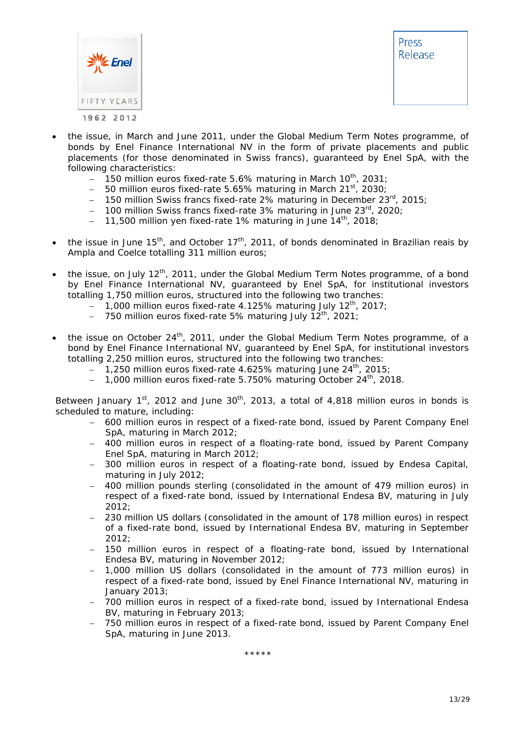

- the issue, in March and June 2011, under the Global Medium Term Notes programme*,* of bonds by Enel Finance International NV in the form of private placements and public placements (for those denominated in Swiss francs), guaranteed by Enel SpA, with the following characteristics:
	- 150 million euros fixed-rate 5.6% maturing in March  $10^{th}$ , 2031;
	- $-$  50 million euros fixed-rate 5.65% maturing in March 21st, 2030;
	- 150 million Swiss francs fixed-rate 2% maturing in December 23 $^{rd}$ , 2015;
	- 100 million Swiss francs fixed-rate 3% maturing in June 23 $^{\text{rd}}$ , 2020;
	- $-$  11,500 million yen fixed-rate 1% maturing in June 14<sup>th</sup>, 2018;
- the issue in June 15<sup>th</sup>, and October 17<sup>th</sup>, 2011, of bonds denominated in Brazilian reais by Ampla and Coelce totalling 311 million euros;
- the issue, on July 12th, 2011, under the Global Medium Term Notes programme*,* of a bond by Enel Finance International NV, guaranteed by Enel SpA, for institutional investors totalling 1,750 million euros, structured into the following two tranches:
	- 1,000 million euros fixed-rate 4.125% maturing July  $12^{th}$ , 2017;
	- 750 million euros fixed-rate 5% maturing July  $12^{th}$ , 2021;
- the issue on October 24th, 2011, under the Global Medium Term Notes programme*,* of a bond by Enel Finance International NV, guaranteed by Enel SpA, for institutional investors totalling 2,250 million euros, structured into the following two tranches:
	- 1,250 million euros fixed-rate 4.625% maturing June  $24<sup>th</sup>$ , 2015;
	- 1,000 million euros fixed-rate 5.750% maturing October 24<sup>th</sup>, 2018.

Between January  $1<sup>st</sup>$ , 2012 and June  $30<sup>th</sup>$ , 2013, a total of 4,818 million euros in bonds is scheduled to mature, including:

- 600 million euros in respect of a fixed-rate bond, issued by Parent Company Enel SpA, maturing in March 2012;
- 400 million euros in respect of a floating-rate bond, issued by Parent Company Enel SpA, maturing in March 2012;
- 300 million euros in respect of a floating-rate bond, issued by Endesa Capital, maturing in July 2012;
- 400 million pounds sterling (consolidated in the amount of 479 million euros) in respect of a fixed-rate bond, issued by International Endesa BV, maturing in July 2012;
- 230 million US dollars (consolidated in the amount of 178 million euros) in respect of a fixed-rate bond, issued by International Endesa BV, maturing in September 2012;
- 150 million euros in respect of a floating-rate bond, issued by International Endesa BV, maturing in November 2012;
- 1,000 million US dollars (consolidated in the amount of 773 million euros) in respect of a fixed-rate bond, issued by Enel Finance International NV, maturing in January 2013;
- 700 million euros in respect of a fixed-rate bond, issued by International Endesa BV, maturing in February 2013;
- 750 million euros in respect of a fixed-rate bond, issued by Parent Company Enel SpA, maturing in June 2013.

\*\*\*\*\*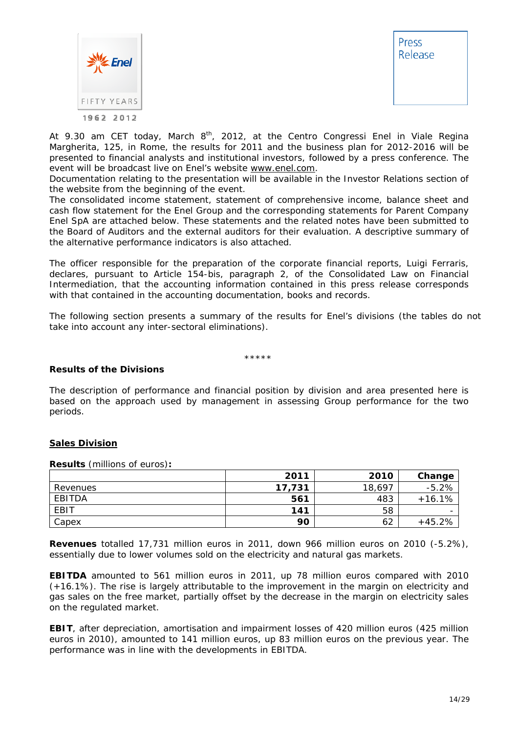



*At 9.30 am CET today, March 8th, 2012, at the Centro Congressi Enel in Viale Regina Margherita, 125, in Rome, the results for 2011 and the business plan for 2012-2016 will be presented to financial analysts and institutional investors, followed by a press conference. The event will be broadcast live on Enel's website www.enel.com.* 

*Documentation relating to the presentation will be available in the* Investor Relations *section of the website from the beginning of the event.* 

*The consolidated income statement, statement of comprehensive income, balance sheet and cash flow statement for the Enel Group and the corresponding statements for Parent Company Enel SpA are attached below. These statements and the related notes have been submitted to the Board of Auditors and the external auditors for their evaluation. A descriptive summary of the alternative performance indicators is also attached.* 

*The officer responsible for the preparation of the corporate financial reports, Luigi Ferraris, declares, pursuant to Article 154-bis, paragraph 2, of the Consolidated Law on Financial Intermediation, that the accounting information contained in this press release corresponds with that contained in the accounting documentation, books and records.* 

*The following section presents a summary of the results for Enel's divisions (the tables do not take into account any inter-sectoral eliminations).* 

\*\*\*\*\*

### **Results of the Divisions**

The description of performance and financial position by division and area presented here is based on the approach used by management in assessing Group performance for the two periods.

#### **Sales Division**

**Results** (millions of euros)**:** 

|          | 2011   | 2010   | Change   |
|----------|--------|--------|----------|
| Revenues | 17.731 | 18,697 | $-5.2%$  |
| EBITDA   | 561    | 483    | $+16.1%$ |
| EBIT     | 141    | 58     |          |
| Capex    | 90     | 62     | $+45.2%$ |

**Revenues** totalled 17,731 million euros in 2011, down 966 million euros on 2010 (-5.2%), essentially due to lower volumes sold on the electricity and natural gas markets.

**EBITDA** amounted to 561 million euros in 2011, up 78 million euros compared with 2010 (+16.1%). The rise is largely attributable to the improvement in the margin on electricity and gas sales on the free market, partially offset by the decrease in the margin on electricity sales on the regulated market.

**EBIT**, after depreciation, amortisation and impairment losses of 420 million euros (425 million euros in 2010), amounted to 141 million euros, up 83 million euros on the previous year. The performance was in line with the developments in EBITDA.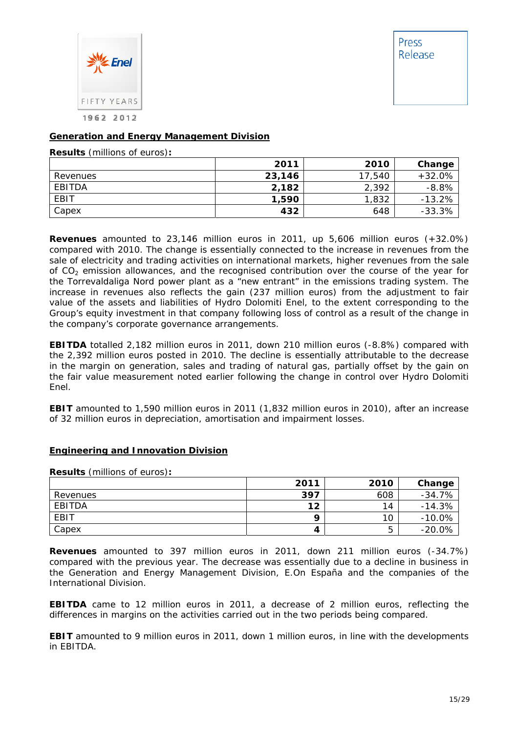

### **Generation and Energy Management Division**

**Results** (millions of euros)**:** 

|          | 2011   | 2010   | Change   |
|----------|--------|--------|----------|
| Revenues | 23,146 | 17,540 | $+32.0%$ |
| EBITDA   | 2,182  | 2,392  | $-8.8%$  |
| EBIT     | 1,590  | 1,832  | $-13.2%$ |
| Capex    | 432    | 648    | $-33.3%$ |

**Revenues** amounted to 23,146 million euros in 2011, up 5,606 million euros (+32.0%) compared with 2010. The change is essentially connected to the increase in revenues from the sale of electricity and trading activities on international markets, higher revenues from the sale of  $CO<sub>2</sub>$  emission allowances, and the recognised contribution over the course of the year for the Torrevaldaliga Nord power plant as a "new entrant" in the emissions trading system. The increase in revenues also reflects the gain (237 million euros) from the adjustment to fair value of the assets and liabilities of Hydro Dolomiti Enel, to the extent corresponding to the Group's equity investment in that company following loss of control as a result of the change in the company's corporate governance arrangements.

**EBITDA** totalled 2,182 million euros in 2011, down 210 million euros (-8.8%) compared with the 2,392 million euros posted in 2010. The decline is essentially attributable to the decrease in the margin on generation, sales and trading of natural gas, partially offset by the gain on the fair value measurement noted earlier following the change in control over Hydro Dolomiti Enel.

**EBIT** amounted to 1,590 million euros in 2011 (1,832 million euros in 2010), after an increase of 32 million euros in depreciation, amortisation and impairment losses.

#### **Engineering and Innovation Division**

| <b>Results</b> (millions of euros): |      |      |           |
|-------------------------------------|------|------|-----------|
|                                     | 2011 | 2010 | Change    |
| Revenues                            | 397  | 608  | $-34.7%$  |
| EBITDA                              | 12   | 14   | $-14.3%$  |
| EBIT                                | o    | 10   | $-10.0\%$ |
| Capex                               | 4    | 5    | $-20.0%$  |

**Revenues** amounted to 397 million euros in 2011, down 211 million euros (-34.7%) compared with the previous year. The decrease was essentially due to a decline in business in the Generation and Energy Management Division, E.On España and the companies of the International Division.

**EBITDA** came to 12 million euros in 2011, a decrease of 2 million euros, reflecting the differences in margins on the activities carried out in the two periods being compared.

**EBIT** amounted to 9 million euros in 2011, down 1 million euros, in line with the developments in EBITDA.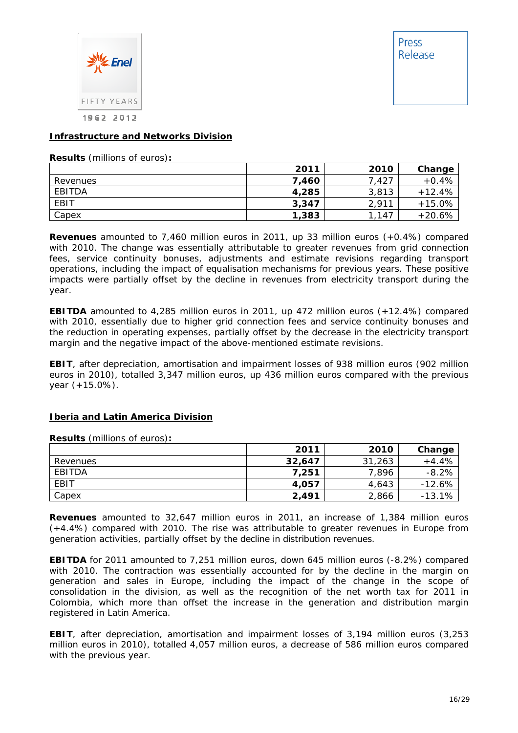

#### **Infrastructure and Networks Division**

**Results** (millions of euros)**:** 

|          | 2011  | 2010  | Change   |
|----------|-------|-------|----------|
| Revenues | 7.460 | 7.427 | $+0.4%$  |
| EBITDA   | 4,285 | 3,813 | $+12.4%$ |
| EBIT     | 3,347 | 2,911 | $+15.0%$ |
| Capex    | 1,383 | ,147  | $+20.6%$ |

**Revenues** amounted to 7,460 million euros in 2011, up 33 million euros (+0.4%) compared with 2010. The change was essentially attributable to greater revenues from grid connection fees, service continuity bonuses, adjustments and estimate revisions regarding transport operations, including the impact of equalisation mechanisms for previous years. These positive impacts were partially offset by the decline in revenues from electricity transport during the year.

**EBITDA** amounted to 4,285 million euros in 2011, up 472 million euros (+12.4%) compared with 2010, essentially due to higher grid connection fees and service continuity bonuses and the reduction in operating expenses, partially offset by the decrease in the electricity transport margin and the negative impact of the above-mentioned estimate revisions.

**EBIT**, after depreciation, amortisation and impairment losses of 938 million euros (902 million euros in 2010), totalled 3,347 million euros, up 436 million euros compared with the previous year (+15.0%).

#### **Iberia and Latin America Division**

**Results** (millions of euros)**:** 

|          | 2011   | 2010   | Change   |
|----------|--------|--------|----------|
| Revenues | 32,647 | 31,263 | $+4.4%$  |
| EBITDA   | 7,251  | 7,896  | $-8.2%$  |
| EBIT     | 4.057  | 4,643  | $-12.6%$ |
| Capex    | 2,491  | 2,866  | $-13.1%$ |

**Revenues** amounted to 32,647 million euros in 2011, an increase of 1,384 million euros (+4.4%) compared with 2010. The rise was attributable to greater revenues in Europe from generation activities, partially offset by the decline in distribution revenues.

**EBITDA** for 2011 amounted to 7,251 million euros, down 645 million euros (-8.2%) compared with 2010. The contraction was essentially accounted for by the decline in the margin on generation and sales in Europe, including the impact of the change in the scope of consolidation in the division, as well as the recognition of the net worth tax for 2011 in Colombia, which more than offset the increase in the generation and distribution margin registered in Latin America.

**EBIT**, after depreciation, amortisation and impairment losses of 3,194 million euros (3,253 million euros in 2010), totalled 4,057 million euros, a decrease of 586 million euros compared with the previous year.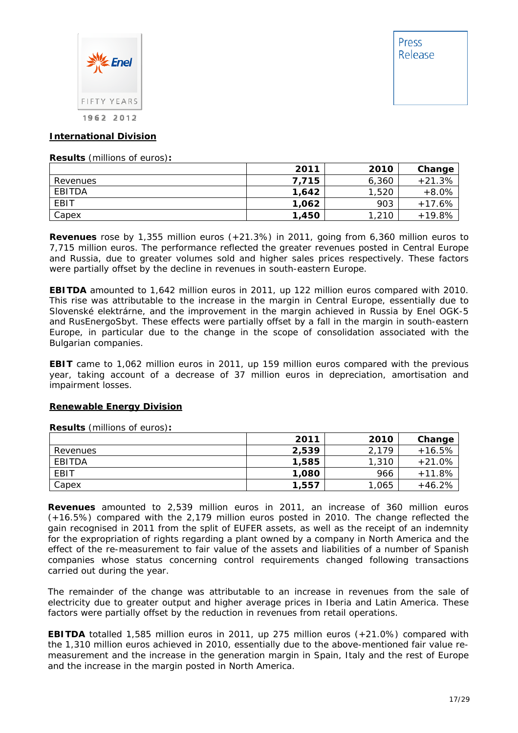

#### **International Division**

**Results** (millions of euros)**:** 

|          | 2011  | 2010  | Change   |
|----------|-------|-------|----------|
| Revenues | 7.715 | 6,360 | $+21.3%$ |
| EBITDA   | 1,642 | 1,520 | $+8.0%$  |
| EBIT     | 1,062 | 903   | $+17.6%$ |
| Capex    | 1,450 | 1,210 | $+19.8%$ |

**Revenues** rose by 1,355 million euros (+21.3%) in 2011, going from 6,360 million euros to 7,715 million euros. The performance reflected the greater revenues posted in Central Europe and Russia, due to greater volumes sold and higher sales prices respectively. These factors were partially offset by the decline in revenues in south-eastern Europe.

**EBITDA** amounted to 1,642 million euros in 2011, up 122 million euros compared with 2010. This rise was attributable to the increase in the margin in Central Europe, essentially due to Slovenské elektrárne, and the improvement in the margin achieved in Russia by Enel OGK-5 and RusEnergoSbyt. These effects were partially offset by a fall in the margin in south-eastern Europe, in particular due to the change in the scope of consolidation associated with the Bulgarian companies.

**EBIT** came to 1,062 million euros in 2011, up 159 million euros compared with the previous year, taking account of a decrease of 37 million euros in depreciation, amortisation and impairment losses.

#### **Renewable Energy Division**

**Results** (millions of euros)**:** 

|          | 2011  | 2010  | Change   |
|----------|-------|-------|----------|
| Revenues | 2,539 | 2,179 | $+16.5%$ |
| EBITDA   | 1,585 | 1,310 | $+21.0%$ |
| EBIT     | 1,080 | 966   | $+11.8%$ |
| Capex    | 1,557 | 1,065 | $+46.2%$ |

**Revenues** amounted to 2,539 million euros in 2011, an increase of 360 million euros (+16.5%) compared with the 2,179 million euros posted in 2010. The change reflected the gain recognised in 2011 from the split of EUFER assets, as well as the receipt of an indemnity for the expropriation of rights regarding a plant owned by a company in North America and the effect of the re-measurement to fair value of the assets and liabilities of a number of Spanish companies whose status concerning control requirements changed following transactions carried out during the year.

The remainder of the change was attributable to an increase in revenues from the sale of electricity due to greater output and higher average prices in Iberia and Latin America. These factors were partially offset by the reduction in revenues from retail operations.

**EBITDA** totalled 1,585 million euros in 2011, up 275 million euros (+21.0%) compared with the 1,310 million euros achieved in 2010, essentially due to the above-mentioned fair value remeasurement and the increase in the generation margin in Spain, Italy and the rest of Europe and the increase in the margin posted in North America.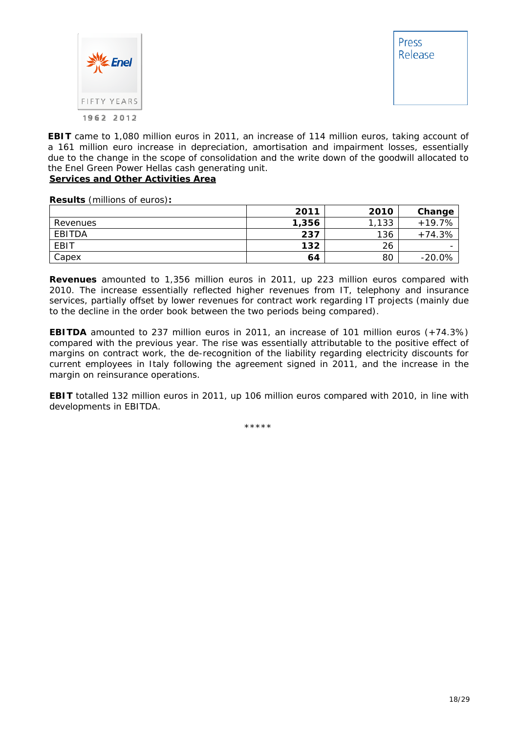

**EBIT** came to 1,080 million euros in 2011, an increase of 114 million euros, taking account of a 161 million euro increase in depreciation, amortisation and impairment losses, essentially due to the change in the scope of consolidation and the write down of the goodwill allocated to the Enel Green Power Hellas cash generating unit.

#### **Services and Other Activities Area**

**Results** (millions of euros)**:** 

|          | 2011  | 2010  | Change    |
|----------|-------|-------|-----------|
| Revenues | 1,356 | , 133 | $+19.7%$  |
| EBITDA   | 237   | 136   | $+74.3%$  |
| EBIT     | 132   | 26    |           |
| Capex    | 64    | 80    | $-20.0\%$ |

**Revenues** amounted to 1,356 million euros in 2011, up 223 million euros compared with 2010. The increase essentially reflected higher revenues from IT, telephony and insurance services, partially offset by lower revenues for contract work regarding IT projects (mainly due to the decline in the order book between the two periods being compared).

**EBITDA** amounted to 237 million euros in 2011, an increase of 101 million euros (+74.3%) compared with the previous year. The rise was essentially attributable to the positive effect of margins on contract work, the de-recognition of the liability regarding electricity discounts for current employees in Italy following the agreement signed in 2011, and the increase in the margin on reinsurance operations.

**EBIT** totalled 132 million euros in 2011, up 106 million euros compared with 2010, in line with developments in EBITDA.

\*\*\*\*\*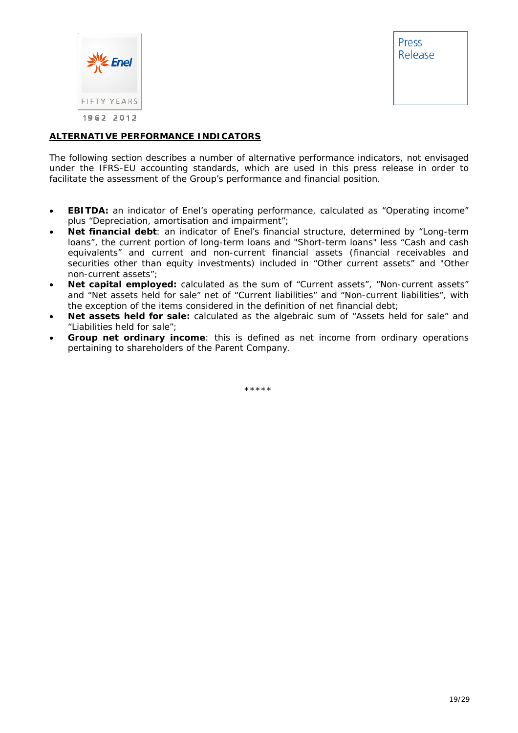

### **ALTERNATIVE PERFORMANCE INDICATORS**

The following section describes a number of alternative performance indicators, not envisaged under the IFRS-EU accounting standards, which are used in this press release in order to facilitate the assessment of the Group's performance and financial position.

- **EBITDA:** an indicator of Enel's operating performance, calculated as "Operating income" plus "Depreciation, amortisation and impairment";
- **Net financial debt**: an indicator of Enel's financial structure, determined by "Long-term loans", the current portion of long-term loans and "Short-term loans" less "Cash and cash equivalents" and current and non-current financial assets (financial receivables and securities other than equity investments) included in "Other current assets" and "Other non-current assets";
- **Net capital employed:** calculated as the sum of "Current assets", "Non-current assets" and "Net assets held for sale" net of "Current liabilities" and "Non-current liabilities", with the exception of the items considered in the definition of net financial debt;
- **Net assets held for sale:** calculated as the algebraic sum of "Assets held for sale" and "Liabilities held for sale";
- **Group net ordinary income**: this is defined as net income from ordinary operations pertaining to shareholders of the Parent Company.

\*\*\*\*\*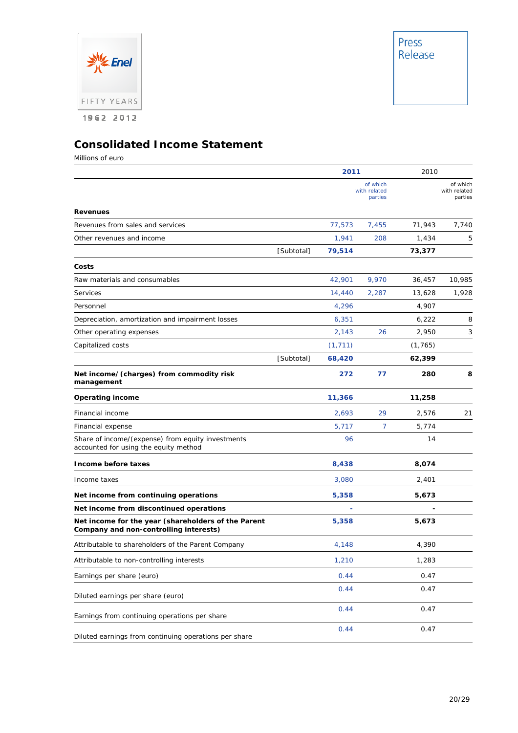

## **Consolidated Income Statement**

Millions of euro

|                                                                                               |            | 2011     |                                     | 2010                     |                                     |
|-----------------------------------------------------------------------------------------------|------------|----------|-------------------------------------|--------------------------|-------------------------------------|
|                                                                                               |            |          | of which<br>with related<br>parties |                          | of which<br>with related<br>parties |
| <b>Revenues</b>                                                                               |            |          |                                     |                          |                                     |
| Revenues from sales and services                                                              |            | 77,573   | 7,455                               | 71,943                   | 7.740                               |
| Other revenues and income                                                                     |            | 1,941    | 208                                 | 1,434                    | 5                                   |
|                                                                                               | [Subtotal] | 79,514   |                                     | 73,377                   |                                     |
| Costs                                                                                         |            |          |                                     |                          |                                     |
| Raw materials and consumables                                                                 |            | 42,901   | 9,970                               | 36,457                   | 10,985                              |
| Services                                                                                      |            | 14,440   | 2,287                               | 13,628                   | 1,928                               |
| Personnel                                                                                     |            | 4,296    |                                     | 4,907                    |                                     |
| Depreciation, amortization and impairment losses                                              |            | 6,351    |                                     | 6,222                    | 8                                   |
| Other operating expenses                                                                      |            | 2,143    | 26                                  | 2,950                    | 3                                   |
| Capitalized costs                                                                             |            | (1, 711) |                                     | (1, 765)                 |                                     |
|                                                                                               | [Subtotal] | 68,420   |                                     | 62,399                   |                                     |
| Net income/(charges) from commodity risk<br>management                                        |            | 272      | 77                                  | 280                      | 8                                   |
| <b>Operating income</b>                                                                       |            | 11,366   |                                     | 11,258                   |                                     |
| Financial income                                                                              |            | 2,693    | 29                                  | 2,576                    | 21                                  |
| Financial expense                                                                             |            | 5,717    | 7                                   | 5,774                    |                                     |
| Share of income/(expense) from equity investments<br>accounted for using the equity method    |            | 96       |                                     | 14                       |                                     |
| Income before taxes                                                                           |            | 8,438    |                                     | 8,074                    |                                     |
| Income taxes                                                                                  |            | 3,080    |                                     | 2,401                    |                                     |
| Net income from continuing operations                                                         |            | 5,358    |                                     | 5,673                    |                                     |
| Net income from discontinued operations                                                       |            |          |                                     | $\overline{\phantom{a}}$ |                                     |
| Net income for the year (shareholders of the Parent<br>Company and non-controlling interests) |            | 5,358    |                                     | 5,673                    |                                     |
| Attributable to shareholders of the Parent Company                                            |            | 4,148    |                                     | 4,390                    |                                     |
| Attributable to non-controlling interests                                                     |            | 1,210    |                                     | 1,283                    |                                     |
| Earnings per share (euro)                                                                     |            | 0.44     |                                     | 0.47                     |                                     |
| Diluted earnings per share (euro)                                                             |            | 0.44     |                                     | 0.47                     |                                     |
| Earnings from continuing operations per share                                                 |            | 0.44     |                                     | 0.47                     |                                     |
| Diluted earnings from continuing operations per share                                         |            | 0.44     |                                     | 0.47                     |                                     |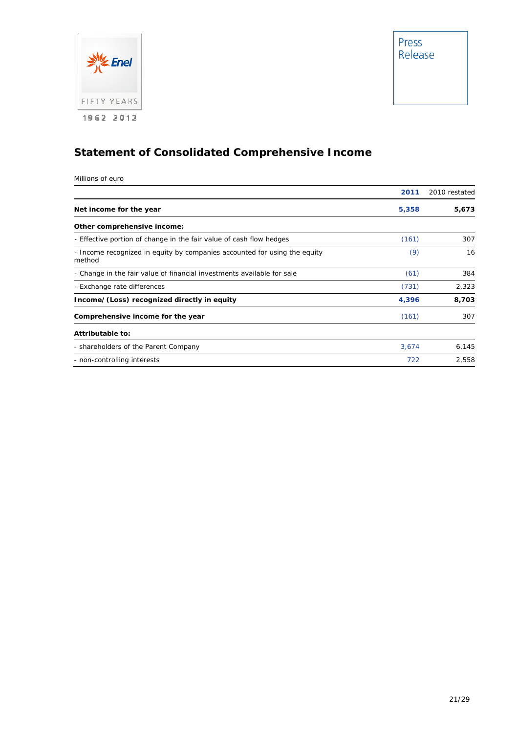



# **Statement of Consolidated Comprehensive Income**

Millions of euro

|                                                                                     | 2011  | 2010 restated |
|-------------------------------------------------------------------------------------|-------|---------------|
| Net income for the year                                                             | 5,358 | 5,673         |
| Other comprehensive income:                                                         |       |               |
| - Effective portion of change in the fair value of cash flow hedges                 | (161) | 307           |
| - Income recognized in equity by companies accounted for using the equity<br>method | (9)   | 16            |
| - Change in the fair value of financial investments available for sale              | (61)  | 384           |
| - Exchange rate differences                                                         | (731) | 2,323         |
| Income/(Loss) recognized directly in equity                                         | 4,396 | 8,703         |
| Comprehensive income for the year                                                   | (161) | 307           |
| Attributable to:                                                                    |       |               |
| - shareholders of the Parent Company                                                | 3,674 | 6,145         |
| - non-controlling interests                                                         | 722   | 2,558         |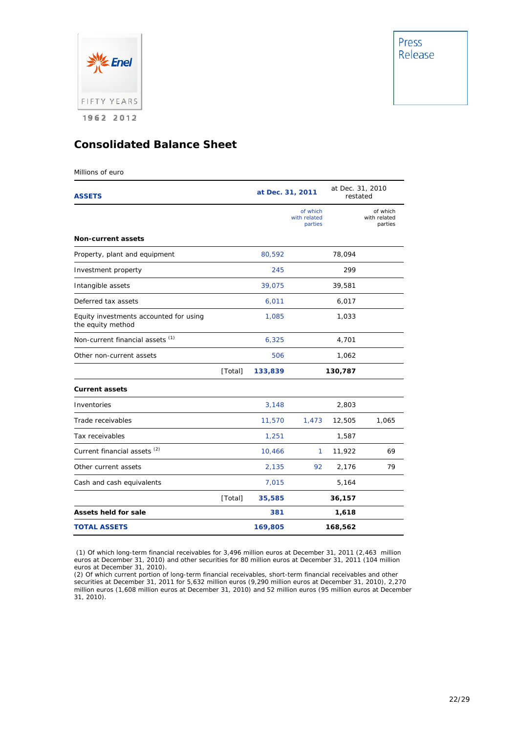

## **Consolidated Balance Sheet**

#### Millions of euro

| <b>ASSETS</b>                                               |         | at Dec. 31, 2011 |                                     | at Dec. 31, 2010<br>restated |                                     |
|-------------------------------------------------------------|---------|------------------|-------------------------------------|------------------------------|-------------------------------------|
|                                                             |         |                  | of which<br>with related<br>parties |                              | of which<br>with related<br>parties |
| <b>Non-current assets</b>                                   |         |                  |                                     |                              |                                     |
| Property, plant and equipment                               |         | 80,592           |                                     | 78,094                       |                                     |
| Investment property                                         |         | 245              |                                     | 299                          |                                     |
| Intangible assets                                           |         | 39,075           |                                     | 39,581                       |                                     |
| Deferred tax assets                                         |         | 6,011            |                                     | 6,017                        |                                     |
| Equity investments accounted for using<br>the equity method |         | 1,085            |                                     | 1,033                        |                                     |
| Non-current financial assets <sup>(1)</sup>                 |         | 6,325            |                                     | 4,701                        |                                     |
| Other non-current assets                                    |         | 506              |                                     | 1,062                        |                                     |
|                                                             | [Total] | 133,839          |                                     | 130,787                      |                                     |
| <b>Current assets</b>                                       |         |                  |                                     |                              |                                     |
| Inventories                                                 |         | 3,148            |                                     | 2,803                        |                                     |
| Trade receivables                                           |         | 11,570           | 1,473                               | 12,505                       | 1,065                               |
| Tax receivables                                             |         | 1,251            |                                     | 1,587                        |                                     |
| Current financial assets <sup>(2)</sup>                     |         | 10,466           | 1                                   | 11,922                       | 69                                  |
| Other current assets                                        |         | 2,135            | 92                                  | 2,176                        | 79                                  |
| Cash and cash equivalents                                   |         | 7,015            |                                     | 5,164                        |                                     |
|                                                             | [Total] | 35,585           |                                     | 36,157                       |                                     |
| <b>Assets held for sale</b>                                 |         | 381              |                                     | 1,618                        |                                     |
| <b>TOTAL ASSETS</b>                                         |         | 169,805          |                                     | 168,562                      |                                     |

 (1) Of which long-term financial receivables for 3,496 million euros at December 31, 2011 (2,463 million euros at December 31, 2010) and other securities for 80 million euros at December 31, 2011 (104 million euros at December 31, 2010).

(2) Of which current portion of long-term financial receivables, short-term financial receivables and other securities at December 31, 2011 for 5,632 million euros (9,290 million euros at December 31, 2010), 2,270 million euros (1,608 million euros at December 31, 2010) and 52 million euros (95 million euros at December 31, 2010).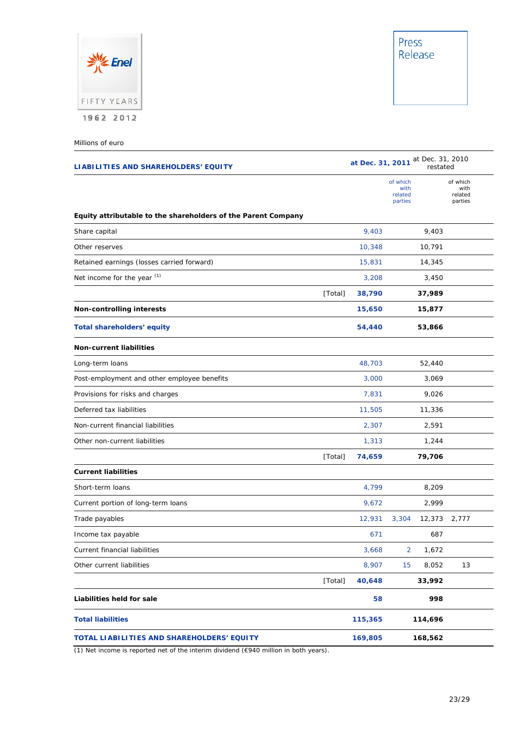

#### Millions of euro

| LIABILITIES AND SHAREHOLDERS' EQUITY                          |         | at Dec. 31, 2011 at Dec. 31, 2010<br>restated |                                        |         |                                        |
|---------------------------------------------------------------|---------|-----------------------------------------------|----------------------------------------|---------|----------------------------------------|
|                                                               |         |                                               | of which<br>with<br>related<br>parties |         | of which<br>with<br>related<br>parties |
| Equity attributable to the shareholders of the Parent Company |         |                                               |                                        |         |                                        |
| Share capital                                                 |         | 9,403                                         |                                        | 9,403   |                                        |
| Other reserves                                                |         | 10,348                                        |                                        | 10,791  |                                        |
| Retained earnings (losses carried forward)                    |         | 15,831                                        |                                        | 14,345  |                                        |
| Net income for the year (1)                                   |         | 3.208                                         |                                        | 3,450   |                                        |
|                                                               | [Total] | 38,790                                        |                                        | 37,989  |                                        |
| <b>Non-controlling interests</b>                              |         | 15,650                                        |                                        | 15,877  |                                        |
| <b>Total shareholders' equity</b>                             |         | 54,440                                        |                                        | 53,866  |                                        |
| <b>Non-current liabilities</b>                                |         |                                               |                                        |         |                                        |
| Long-term loans                                               |         | 48,703                                        |                                        | 52,440  |                                        |
| Post-employment and other employee benefits                   |         | 3,000                                         |                                        | 3,069   |                                        |
| Provisions for risks and charges                              |         | 7,831                                         |                                        | 9,026   |                                        |
| Deferred tax liabilities                                      |         | 11,505                                        |                                        | 11,336  |                                        |
| Non-current financial liabilities                             |         | 2,307                                         |                                        | 2,591   |                                        |
| Other non-current liabilities                                 |         | 1,313                                         |                                        | 1,244   |                                        |
|                                                               | [Total] | 74,659                                        |                                        | 79,706  |                                        |
| <b>Current liabilities</b>                                    |         |                                               |                                        |         |                                        |
| Short-term loans                                              |         | 4,799                                         |                                        | 8,209   |                                        |
| Current portion of long-term loans                            |         | 9,672                                         |                                        | 2,999   |                                        |
| Trade payables                                                |         | 12,931                                        | 3,304                                  | 12,373  | 2,777                                  |
| Income tax payable                                            |         | 671                                           |                                        | 687     |                                        |
| Current financial liabilities                                 |         | 3,668                                         | $\overline{2}$                         | 1,672   |                                        |
| Other current liabilities                                     |         | 8,907                                         | 15                                     | 8,052   | 13                                     |
|                                                               | [Total] | 40,648                                        |                                        | 33,992  |                                        |
| Liabilities held for sale                                     |         | 58                                            |                                        | 998     |                                        |
| <b>Total liabilities</b>                                      |         | 115,365                                       |                                        | 114,696 |                                        |
| TOTAL LIABILITIES AND SHAREHOLDERS' EQUITY                    |         | 169,805                                       |                                        | 168,562 |                                        |

(1) Net income is reported net of the interim dividend (€940 million in both years).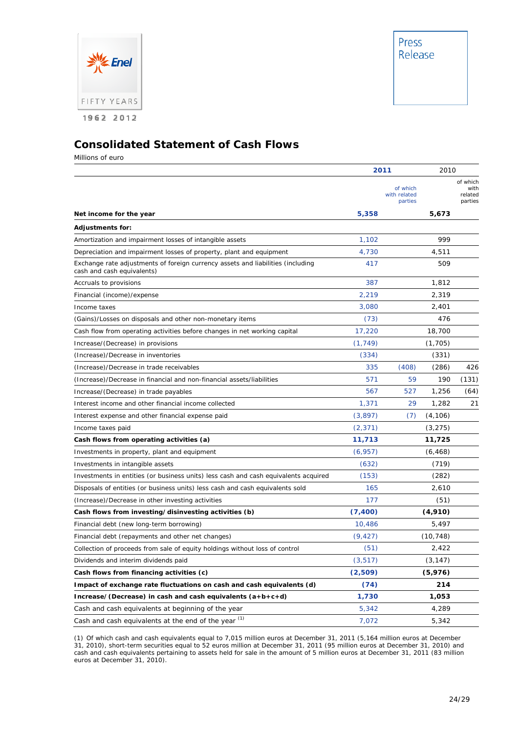

## **Consolidated Statement of Cash Flows**

Millions of euro

|                                                                                                               |          | 2011                                |           | 2010                                   |
|---------------------------------------------------------------------------------------------------------------|----------|-------------------------------------|-----------|----------------------------------------|
|                                                                                                               |          | of which<br>with related<br>parties |           | of which<br>with<br>related<br>parties |
| Net income for the year                                                                                       | 5,358    |                                     | 5,673     |                                        |
| <b>Adjustments for:</b>                                                                                       |          |                                     |           |                                        |
| Amortization and impairment losses of intangible assets                                                       | 1,102    |                                     | 999       |                                        |
| Depreciation and impairment losses of property, plant and equipment                                           | 4,730    |                                     | 4,511     |                                        |
| Exchange rate adjustments of foreign currency assets and liabilities (including<br>cash and cash equivalents) | 417      |                                     | 509       |                                        |
| Accruals to provisions                                                                                        | 387      |                                     | 1,812     |                                        |
| Financial (income)/expense                                                                                    | 2,219    |                                     | 2,319     |                                        |
| Income taxes                                                                                                  | 3,080    |                                     | 2,401     |                                        |
| (Gains)/Losses on disposals and other non-monetary items                                                      | (73)     |                                     | 476       |                                        |
| Cash flow from operating activities before changes in net working capital                                     | 17,220   |                                     | 18,700    |                                        |
| Increase/(Decrease) in provisions                                                                             | (1, 749) |                                     | (1,705)   |                                        |
| (Increase)/Decrease in inventories                                                                            | (334)    |                                     | (331)     |                                        |
| (Increase)/Decrease in trade receivables                                                                      | 335      | (408)                               | (286)     | 426                                    |
| (Increase)/Decrease in financial and non-financial assets/liabilities                                         | 571      | 59                                  | 190       | (131)                                  |
| Increase/(Decrease) in trade payables                                                                         | 567      | 527                                 | 1,256     | (64)                                   |
| Interest income and other financial income collected                                                          | 1,371    | 29                                  | 1,282     | 21                                     |
| Interest expense and other financial expense paid                                                             | (3,897)  | (7)                                 | (4, 106)  |                                        |
| Income taxes paid                                                                                             | (2, 371) |                                     | (3, 275)  |                                        |
| Cash flows from operating activities (a)                                                                      | 11,713   |                                     | 11,725    |                                        |
| Investments in property, plant and equipment                                                                  | (6, 957) |                                     | (6, 468)  |                                        |
| Investments in intangible assets                                                                              | (632)    |                                     | (719)     |                                        |
| Investments in entities (or business units) less cash and cash equivalents acquired                           | (153)    |                                     | (282)     |                                        |
| Disposals of entities (or business units) less cash and cash equivalents sold                                 | 165      |                                     | 2,610     |                                        |
| (Increase)/Decrease in other investing activities                                                             | 177      |                                     | (51)      |                                        |
| Cash flows from investing/disinvesting activities (b)                                                         | (7, 400) |                                     | (4,910)   |                                        |
| Financial debt (new long-term borrowing)                                                                      | 10,486   |                                     | 5,497     |                                        |
| Financial debt (repayments and other net changes)                                                             | (9, 427) |                                     | (10, 748) |                                        |
| Collection of proceeds from sale of equity holdings without loss of control                                   | (51)     |                                     | 2,422     |                                        |
| Dividends and interim dividends paid                                                                          | (3, 517) |                                     | (3, 147)  |                                        |
| Cash flows from financing activities (c)                                                                      | (2,509)  |                                     | (5,976)   |                                        |
| Impact of exchange rate fluctuations on cash and cash equivalents (d)                                         | (74)     |                                     | 214       |                                        |
| Increase/(Decrease) in cash and cash equivalents $(a+b+c+d)$                                                  | 1,730    |                                     | 1,053     |                                        |
| Cash and cash equivalents at beginning of the year                                                            | 5,342    |                                     | 4,289     |                                        |
| Cash and cash equivalents at the end of the year (1)                                                          | 7,072    |                                     | 5,342     |                                        |

(1) Of which cash and cash equivalents equal to 7,015 million euros at December 31, 2011 (5,164 million euros at December 31, 2010), short-term securities equal to 52 euros million at December 31, 2011 (95 million euros at December 31, 2010) and cash and cash equivalents pertaining to assets held for sale in the amount of 5 million euros at December 31, 2011 (83 million euros at December 31, 2010).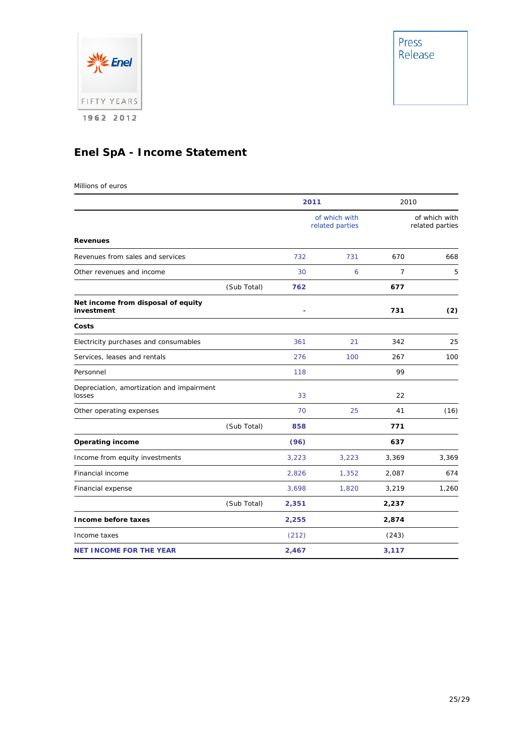Press<br>Release



# **Enel SpA - Income Statement**

Millions of euros

|                                                     |             | 2011  |                                  | 2010           |                                  |
|-----------------------------------------------------|-------------|-------|----------------------------------|----------------|----------------------------------|
|                                                     |             |       | of which with<br>related parties |                | of which with<br>related parties |
| <b>Revenues</b>                                     |             |       |                                  |                |                                  |
| Revenues from sales and services                    |             | 732   | 731                              | 670            | 668                              |
| Other revenues and income                           |             | 30    | 6                                | $\overline{7}$ | 5                                |
|                                                     | (Sub Total) | 762   |                                  | 677            |                                  |
| Net income from disposal of equity<br>investment    |             |       |                                  | 731            | (2)                              |
| Costs                                               |             |       |                                  |                |                                  |
| Electricity purchases and consumables               |             | 361   | 21                               | 342            | 25                               |
| Services, leases and rentals                        |             | 276   | 100                              | 267            | 100                              |
| Personnel                                           |             | 118   |                                  | 99             |                                  |
| Depreciation, amortization and impairment<br>losses |             | 33    |                                  | 22             |                                  |
| Other operating expenses                            |             | 70    | 25                               | 41             | (16)                             |
|                                                     | (Sub Total) | 858   |                                  | 771            |                                  |
| <b>Operating income</b>                             |             | (96)  |                                  | 637            |                                  |
| Income from equity investments                      |             | 3,223 | 3,223                            | 3,369          | 3,369                            |
| Financial income                                    |             | 2,826 | 1,352                            | 2,087          | 674                              |
| Financial expense                                   |             | 3,698 | 1,820                            | 3,219          | 1,260                            |
|                                                     | (Sub Total) | 2,351 |                                  | 2,237          |                                  |
| Income before taxes                                 |             | 2,255 |                                  | 2,874          |                                  |
| Income taxes                                        |             | (212) |                                  | (243)          |                                  |
| <b>NET INCOME FOR THE YEAR</b>                      |             | 2,467 |                                  | 3,117          |                                  |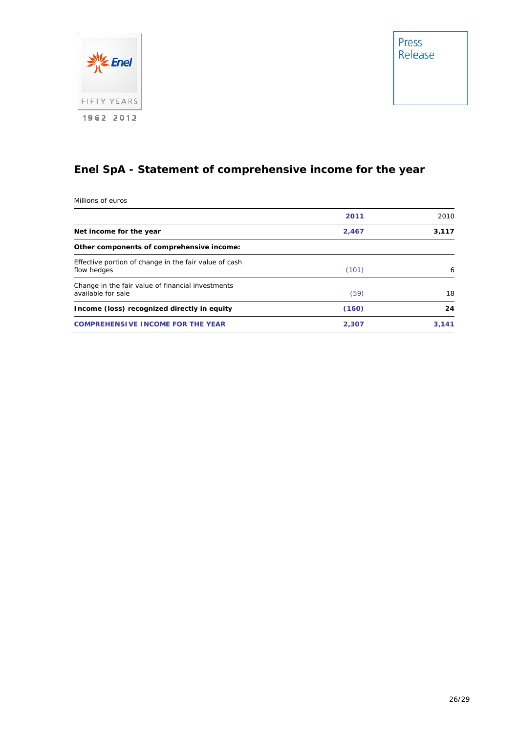

# **Enel SpA - Statement of comprehensive income for the year**

Millions of euros

|                                                                         | 2011  | 2010  |
|-------------------------------------------------------------------------|-------|-------|
| Net income for the year                                                 | 2,467 | 3,117 |
| Other components of comprehensive income:                               |       |       |
| Effective portion of change in the fair value of cash<br>flow hedges    | (101) | 6     |
| Change in the fair value of financial investments<br>available for sale | (59)  | 18    |
| Income (loss) recognized directly in equity                             | (160) | 24    |
| <b>COMPREHENSIVE INCOME FOR THE YEAR</b>                                | 2,307 | 3,141 |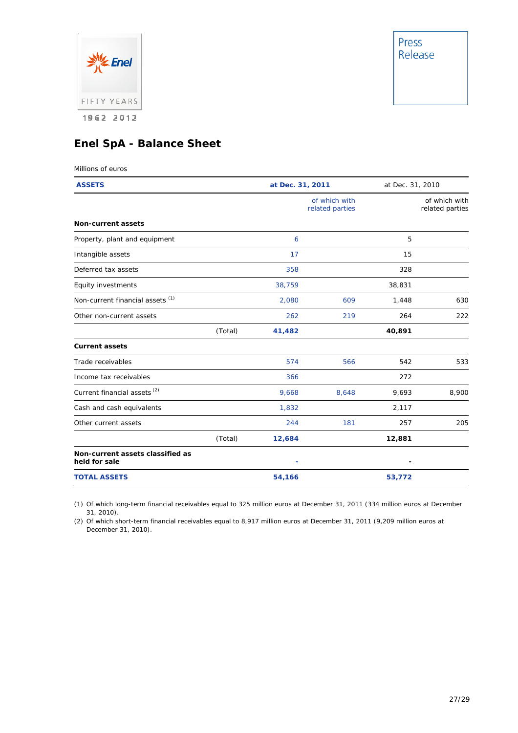

## **Enel SpA - Balance Sheet**

#### Millions of euros

| <b>ASSETS</b>                                     |         | at Dec. 31, 2011 |                                  | at Dec. 31, 2010 |                                  |
|---------------------------------------------------|---------|------------------|----------------------------------|------------------|----------------------------------|
|                                                   |         |                  | of which with<br>related parties |                  | of which with<br>related parties |
| <b>Non-current assets</b>                         |         |                  |                                  |                  |                                  |
| Property, plant and equipment                     |         | 6                |                                  | 5                |                                  |
| Intangible assets                                 |         | 17               |                                  | 15               |                                  |
| Deferred tax assets                               |         | 358              |                                  | 328              |                                  |
| Equity investments                                |         | 38,759           |                                  | 38,831           |                                  |
| Non-current financial assets (1)                  |         | 2,080            | 609                              | 1,448            | 630                              |
| Other non-current assets                          |         | 262              | 219                              | 264              | 222                              |
|                                                   | (Total) | 41,482           |                                  | 40,891           |                                  |
| <b>Current assets</b>                             |         |                  |                                  |                  |                                  |
| Trade receivables                                 |         | 574              | 566                              | 542              | 533                              |
| Income tax receivables                            |         | 366              |                                  | 272              |                                  |
| Current financial assets <sup>(2)</sup>           |         | 9,668            | 8,648                            | 9,693            | 8,900                            |
| Cash and cash equivalents                         |         | 1,832            |                                  | 2,117            |                                  |
| Other current assets                              |         | 244              | 181                              | 257              | 205                              |
|                                                   | (Total) | 12,684           |                                  | 12,881           |                                  |
| Non-current assets classified as<br>held for sale |         | ٠                |                                  | $\blacksquare$   |                                  |
| <b>TOTAL ASSETS</b>                               |         | 54,166           |                                  | 53,772           |                                  |

(1) Of which long-term financial receivables equal to 325 million euros at December 31, 2011 (334 million euros at December 31, 2010).

(2) Of which short-term financial receivables equal to 8,917 million euros at December 31, 2011 (9,209 million euros at December 31, 2010).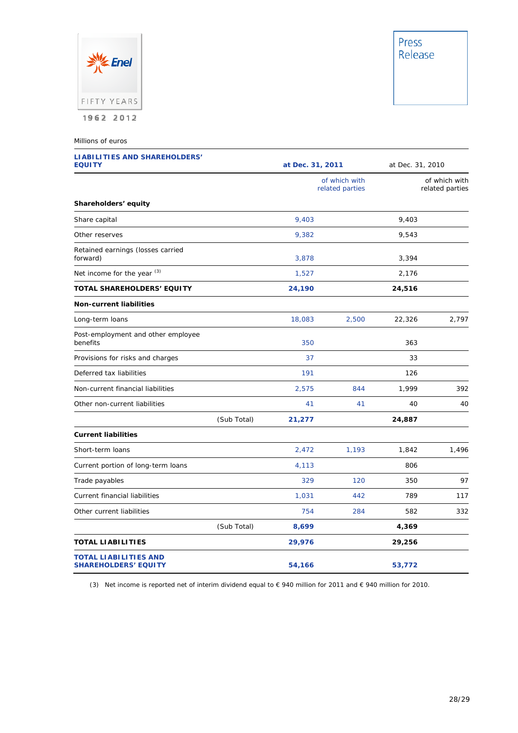

Millions of euros

| <b>LIABILITIES AND SHAREHOLDERS'</b><br><b>EQUITY</b>       |             |                                  | at Dec. 31, 2011 |                                  | at Dec. 31, 2010 |  |
|-------------------------------------------------------------|-------------|----------------------------------|------------------|----------------------------------|------------------|--|
|                                                             |             | of which with<br>related parties |                  | of which with<br>related parties |                  |  |
| Shareholders' equity                                        |             |                                  |                  |                                  |                  |  |
| Share capital                                               |             | 9,403                            |                  | 9,403                            |                  |  |
| Other reserves                                              |             | 9,382                            |                  | 9,543                            |                  |  |
| Retained earnings (losses carried<br>forward)               |             | 3,878                            |                  | 3,394                            |                  |  |
| Net income for the year (3)                                 |             | 1,527                            |                  | 2,176                            |                  |  |
| TOTAL SHAREHOLDERS' EQUITY                                  |             | 24,190                           |                  | 24,516                           |                  |  |
| <b>Non-current liabilities</b>                              |             |                                  |                  |                                  |                  |  |
| Long-term loans                                             |             | 18,083                           | 2,500            | 22,326                           | 2,797            |  |
| Post-employment and other employee<br>benefits              |             | 350                              |                  | 363                              |                  |  |
| Provisions for risks and charges                            |             | 37                               |                  | 33                               |                  |  |
| Deferred tax liabilities                                    |             | 191                              |                  | 126                              |                  |  |
| Non-current financial liabilities                           |             | 2,575                            | 844              | 1,999                            | 392              |  |
| Other non-current liabilities                               |             | 41                               | 41               | 40                               | 40               |  |
|                                                             | (Sub Total) | 21,277                           |                  | 24,887                           |                  |  |
| <b>Current liabilities</b>                                  |             |                                  |                  |                                  |                  |  |
| Short-term loans                                            |             | 2,472                            | 1,193            | 1,842                            | 1,496            |  |
| Current portion of long-term loans                          |             | 4,113                            |                  | 806                              |                  |  |
| Trade payables                                              |             | 329                              | 120              | 350                              | 97               |  |
| Current financial liabilities                               |             | 1,031                            | 442              | 789                              | 117              |  |
| Other current liabilities                                   |             | 754                              | 284              | 582                              | 332              |  |
|                                                             | (Sub Total) | 8,699                            |                  | 4,369                            |                  |  |
| <b>TOTAL LIABILITIES</b>                                    |             | 29,976                           |                  | 29,256                           |                  |  |
| <b>TOTAL LIABILITIES AND</b><br><b>SHAREHOLDERS' EQUITY</b> |             | 54,166                           |                  | 53,772                           |                  |  |

(3) Net income is reported net of interim dividend equal to € 940 million for 2011 and € 940 million for 2010.